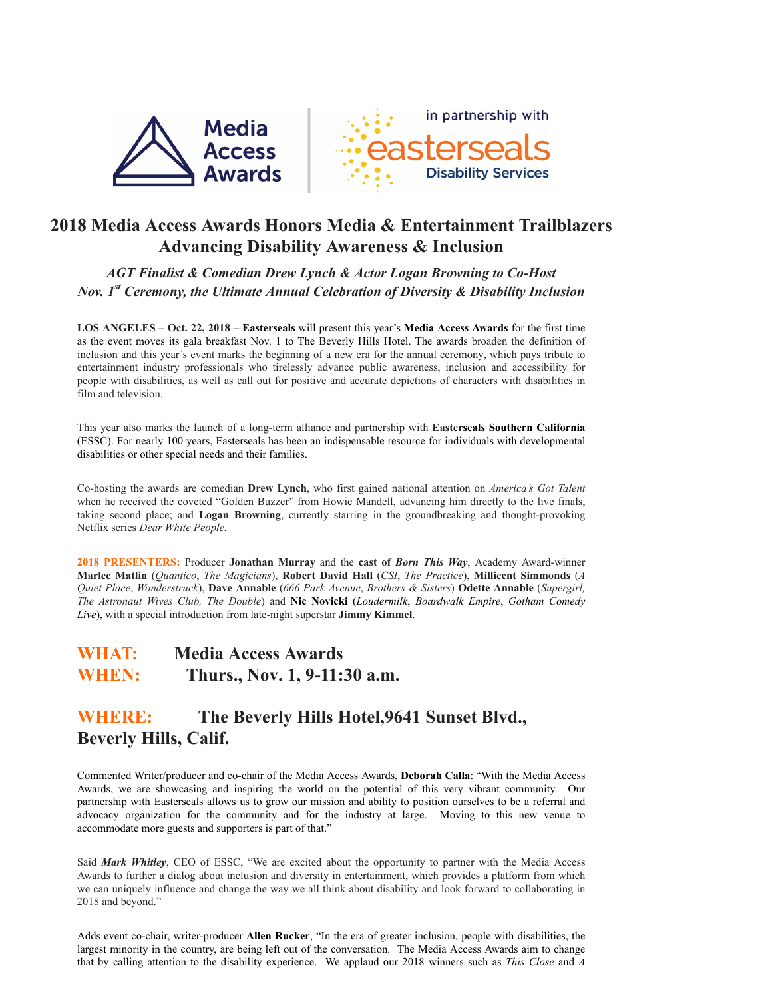

# **2018 Media Access Awards Honors Media & Entertainment Trailblazers Advancing Disability Awareness & Inclusion**

*AGT Finalist & Comedian Drew Lynch & Actor Logan Browning to Co-Host Nov. 1st Ceremony, the Ultimate Annual Celebration of Diversity & Disability Inclusion*

**LOS ANGELES – Oct. 22, 2018 – Easterseals** will present this year's **Media Access Awards** for the first time as the event moves its gala breakfast Nov. 1 to The Beverly Hills Hotel. The awards broaden the definition of inclusion and this year's event marks the beginning of a new era for the annual ceremony, which pays tribute to entertainment industry professionals who tirelessly advance public awareness, inclusion and accessibility for people with disabilities, as well as call out for positive and accurate depictions of characters with disabilities in film and television.

This year also marks the launch of a long-term alliance and partnership with **Easterseals Southern California** (ESSC). For nearly 100 years, Easterseals has been an indispensable resource for individuals with developmental disabilities or other special needs and their families.

Co-hosting the awards are comedian **Drew Lynch**, who first gained national attention on *America's Got Talent* when he received the coveted "Golden Buzzer" from Howie Mandell, advancing him directly to the live finals, taking second place; and **Logan Browning**, currently starring in the groundbreaking and thought-provoking Netflix series *Dear White People.*

**2018 PRESENTERS:** Producer **Jonathan Murray** and the **cast of** *Born This Way*, Academy Award-winner **Marlee Matlin** (*Quantico*, *The Magicians*), **Robert David Hall** (*CSI*, *The Practice*), **Millicent Simmonds** (*A Quiet Place*, *Wonderstruck*), **Dave Annable** (*666 Park Avenue*, *Brothers & Sisters*) **Odette Annable** (*Supergirl, The Astronaut Wives Club, The Double*) and **Nic Novicki** (*Loudermilk*, *Boardwalk Empire*, *Gotham Comedy Live*), with a special introduction from late-night superstar **Jimmy Kimmel**.

# **WHAT: Media Access Awards WHEN: Thurs., Nov. 1, 9-11:30 a.m.**

# **WHERE: The Beverly Hills Hotel,9641 Sunset Blvd., Beverly Hills, Calif.**

Commented Writer/producer and co-chair of the Media Access Awards, **Deborah Calla**: "With the Media Access Awards, we are showcasing and inspiring the world on the potential of this very vibrant community. Our partnership with Easterseals allows us to grow our mission and ability to position ourselves to be a referral and advocacy organization for the community and for the industry at large. Moving to this new venue to accommodate more guests and supporters is part of that."

Said *Mark Whitley*, CEO of ESSC, "We are excited about the opportunity to partner with the Media Access Awards to further a dialog about inclusion and diversity in entertainment, which provides a platform from which we can uniquely influence and change the way we all think about disability and look forward to collaborating in 2018 and beyond."

Adds event co-chair, writer-producer **Allen Rucker**, "In the era of greater inclusion, people with disabilities, the largest minority in the country, are being left out of the conversation. The Media Access Awards aim to change that by calling attention to the disability experience. We applaud our 2018 winners such as *This Close* and *A*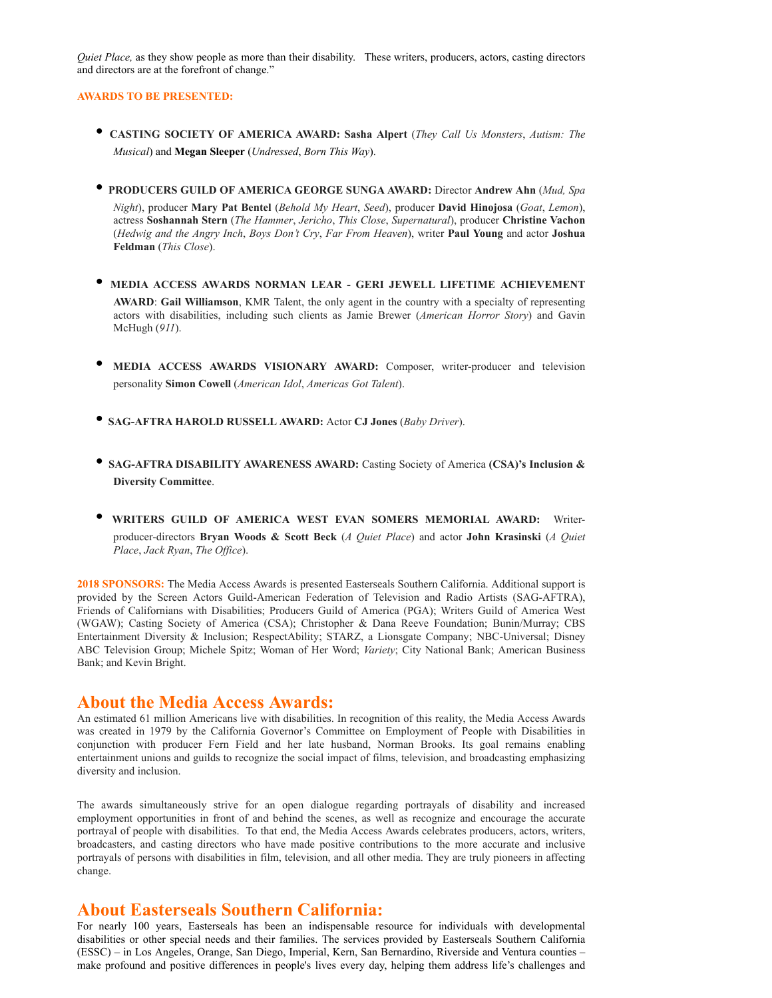*Quiet Place,* as they show people as more than their disability. These writers, producers, actors, casting directors and directors are at the forefront of change."

#### **AWARDS TO BE PRESENTED:**

- **CASTING SOCIETY OF AMERICA AWARD: Sasha Alpert** (*They Call Us Monsters*, *Autism: The Musical*) and **Megan Sleeper** (*Undressed*, *Born This Way*).
- **PRODUCERS GUILD OF AMERICA GEORGE SUNGA AWARD:** Director **Andrew Ahn** (*Mud, Spa Night*), producer **Mary Pat Bentel** (*Behold My Heart*, *Seed*), producer **David Hinojosa** (*Goat*, *Lemon*), actress **Soshannah Stern** (*The Hammer*, *Jericho*, *This Close*, *Supernatural*), producer **Christine Vachon** (*Hedwig and the Angry Inch*, *Boys Don't Cry*, *Far From Heaven*), writer **Paul Young** and actor **Joshua Feldman** (*This Close*).
- **MEDIA ACCESS AWARDS NORMAN LEAR GERI JEWELL LIFETIME ACHIEVEMENT AWARD**: **Gail Williamson**, KMR Talent, the only agent in the country with a specialty of representing actors with disabilities, including such clients as Jamie Brewer (*American Horror Story*) and Gavin McHugh (*911*).
- **MEDIA ACCESS AWARDS VISIONARY AWARD:** Composer, writer-producer and television personality **Simon Cowell** (*American Idol*, *Americas Got Talent*).
- **SAG-AFTRA HAROLD RUSSELL AWARD:** Actor **CJ Jones** (*Baby Driver*).
- **SAG-AFTRA DISABILITY AWARENESS AWARD:** Casting Society of America **(CSA)'s Inclusion & Diversity Committee**.
- **WRITERS GUILD OF AMERICA WEST EVAN SOMERS MEMORIAL AWARD:** Writerproducer-directors **Bryan Woods & Scott Beck** (*A Quiet Place*) and actor **John Krasinski** (*A Quiet Place*, *Jack Ryan*, *The Office*).

**2018 SPONSORS:** The Media Access Awards is presented Easterseals Southern California. Additional support is provided by the Screen Actors Guild-American Federation of Television and Radio Artists (SAG-AFTRA), Friends of Californians with Disabilities; Producers Guild of America (PGA); Writers Guild of America West (WGAW); Casting Society of America (CSA); Christopher & Dana Reeve Foundation; Bunin/Murray; CBS Entertainment Diversity & Inclusion; RespectAbility; STARZ, a Lionsgate Company; NBC-Universal; Disney ABC Television Group; Michele Spitz; Woman of Her Word; *Variety*; City National Bank; American Business Bank; and Kevin Bright.

### **About the Media Access Awards:**

An estimated 61 million Americans live with disabilities. In recognition of this reality, the Media Access Awards was created in 1979 by the California Governor's Committee on Employment of People with Disabilities in conjunction with producer Fern Field and her late husband, Norman Brooks. Its goal remains enabling entertainment unions and guilds to recognize the social impact of films, television, and broadcasting emphasizing diversity and inclusion.

The awards simultaneously strive for an open dialogue regarding portrayals of disability and increased employment opportunities in front of and behind the scenes, as well as recognize and encourage the accurate portrayal of people with disabilities. To that end, the Media Access Awards celebrates producers, actors, writers, broadcasters, and casting directors who have made positive contributions to the more accurate and inclusive portrayals of persons with disabilities in film, television, and all other media. They are truly pioneers in affecting change.

### **About Easterseals Southern California:**

For nearly 100 years, Easterseals has been an indispensable resource for individuals with developmental disabilities or other special needs and their families. The services provided by Easterseals Southern California (ESSC) – in Los Angeles, Orange, San Diego, Imperial, Kern, San Bernardino, Riverside and Ventura counties – make profound and positive differences in people's lives every day, helping them address life's challenges and